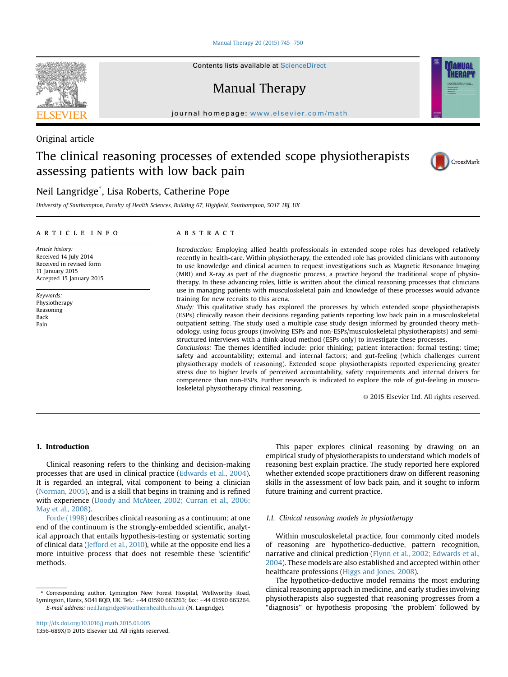[Manual Therapy 20 \(2015\) 745](http://dx.doi.org/10.1016/j.math.2015.01.005)-[750](http://dx.doi.org/10.1016/j.math.2015.01.005)

Contents lists available at ScienceDirect

Manual Therapy

journal homepage: [www.elsevier.com/math](http://www.elsevier.com/math)

## Original article

# The clinical reasoning processes of extended scope physiotherapists assessing patients with low back pain



## Neil Langridge\* , Lisa Roberts, Catherine Pope

University of Southampton, Faculty of Health Sciences, Building 67, Highfield, Southampton, SO17 1BJ, UK

## article info

Article history: Received 14 July 2014 Received in revised form 11 January 2015 Accepted 15 January 2015

Keywords: Physiotherapy Reasoning Back Pain

## **ABSTRACT**

Introduction: Employing allied health professionals in extended scope roles has developed relatively recently in health-care. Within physiotherapy, the extended role has provided clinicians with autonomy to use knowledge and clinical acumen to request investigations such as Magnetic Resonance Imaging (MRI) and X-ray as part of the diagnostic process, a practice beyond the traditional scope of physiotherapy. In these advancing roles, little is written about the clinical reasoning processes that clinicians use in managing patients with musculoskeletal pain and knowledge of these processes would advance training for new recruits to this arena.

Study: This qualitative study has explored the processes by which extended scope physiotherapists (ESPs) clinically reason their decisions regarding patients reporting low back pain in a musculoskeletal outpatient setting. The study used a multiple case study design informed by grounded theory methodology, using focus groups (involving ESPs and non-ESPs/musculoskeletal physiotherapists) and semistructured interviews with a think-aloud method (ESPs only) to investigate these processes.

Conclusions: The themes identified include: prior thinking; patient interaction; formal testing; time; safety and accountability; external and internal factors; and gut-feeling (which challenges current physiotherapy models of reasoning). Extended scope physiotherapists reported experiencing greater stress due to higher levels of perceived accountability, safety requirements and internal drivers for competence than non-ESPs. Further research is indicated to explore the role of gut-feeling in musculoskeletal physiotherapy clinical reasoning.

© 2015 Elsevier Ltd. All rights reserved.

## 1. Introduction

Clinical reasoning refers to the thinking and decision-making processes that are used in clinical practice ([Edwards et al., 2004\)](#page-5-0). It is regarded an integral, vital component to being a clinician ([Norman, 2005\)](#page-5-0), and is a skill that begins in training and is refined with experience ([Doody and McAteer, 2002; Curran et al., 2006;](#page-5-0) [May et al., 2008](#page-5-0)).

[Forde \(1998\)](#page-5-0) describes clinical reasoning as a continuum; at one end of the continuum is the strongly-embedded scientific, analytical approach that entails hypothesis-testing or systematic sorting of clinical data [\(Jefford et al., 2010\)](#page-5-0), while at the opposite end lies a more intuitive process that does not resemble these 'scientific' methods.

\* Corresponding author. Lymington New Forest Hospital, Wellworthy Road, Lymington, Hants, SO41 8QD, UK. Tel.: +44 01590 663263; fax: +44 01590 663264. E-mail address: [neil.langridge@southernhealth.nhs.uk](mailto:neil.langridge@southernhealth.nhs.uk) (N. Langridge).

This paper explores clinical reasoning by drawing on an empirical study of physiotherapists to understand which models of reasoning best explain practice. The study reported here explored whether extended scope practitioners draw on different reasoning skills in the assessment of low back pain, and it sought to inform future training and current practice.

## 1.1. Clinical reasoning models in physiotherapy

Within musculoskeletal practice, four commonly cited models of reasoning are hypothetico-deductive, pattern recognition, narrative and clinical prediction ([Flynn et al., 2002; Edwards et al.,](#page-5-0) [2004\)](#page-5-0). These models are also established and accepted within other healthcare professions ([Higgs and Jones, 2008\)](#page-5-0).

The hypothetico-deductive model remains the most enduring clinical reasoning approach in medicine, and early studies involving physiotherapists also suggested that reasoning progresses from a "diagnosis" or hypothesis proposing 'the problem' followed by

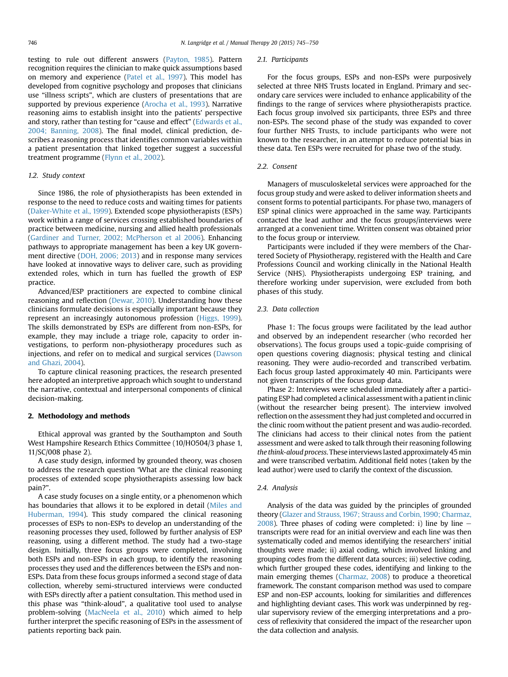testing to rule out different answers ([Payton, 1985\)](#page-5-0). Pattern recognition requires the clinician to make quick assumptions based on memory and experience ([Patel et al., 1997\)](#page-5-0). This model has developed from cognitive psychology and proposes that clinicians use "illness scripts", which are clusters of presentations that are supported by previous experience ([Arocha et al., 1993\)](#page-5-0). Narrative reasoning aims to establish insight into the patients' perspective and story, rather than testing for "cause and effect" [\(Edwards et al.,](#page-5-0) [2004; Banning, 2008\)](#page-5-0). The final model, clinical prediction, describes a reasoning process that identifies common variables within a patient presentation that linked together suggest a successful treatment programme ([Flynn et al., 2002](#page-5-0)).

#### 1.2. Study context

Since 1986, the role of physiotherapists has been extended in response to the need to reduce costs and waiting times for patients ([Daker-White et al., 1999\)](#page-5-0). Extended scope physiotherapists (ESPs) work within a range of services crossing established boundaries of practice between medicine, nursing and allied health professionals ([Gardiner and Turner, 2002; McPherson et al 2006](#page-5-0)). Enhancing pathways to appropriate management has been a key UK government directive [\(DOH, 2006; 2013](#page-5-0)) and in response many services have looked at innovative ways to deliver care, such as providing extended roles, which in turn has fuelled the growth of ESP practice.

Advanced/ESP practitioners are expected to combine clinical reasoning and reflection [\(Dewar, 2010\)](#page-5-0). Understanding how these clinicians formulate decisions is especially important because they represent an increasingly autonomous profession ([Higgs, 1999\)](#page-5-0). The skills demonstrated by ESPs are different from non-ESPs, for example, they may include a triage role, capacity to order investigations, to perform non-physiotherapy procedures such as injections, and refer on to medical and surgical services ([Dawson](#page-5-0) [and Ghazi, 2004\)](#page-5-0).

To capture clinical reasoning practices, the research presented here adopted an interpretive approach which sought to understand the narrative, contextual and interpersonal components of clinical decision-making.

## 2. Methodology and methods

Ethical approval was granted by the Southampton and South West Hampshire Research Ethics Committee (10/HO504/3 phase 1, 11/SC/008 phase 2).

A case study design, informed by grounded theory, was chosen to address the research question 'What are the clinical reasoning processes of extended scope physiotherapists assessing low back pain?".

A case study focuses on a single entity, or a phenomenon which has boundaries that allows it to be explored in detail [\(Miles and](#page-5-0) [Huberman, 1994\)](#page-5-0). This study compared the clinical reasoning processes of ESPs to non-ESPs to develop an understanding of the reasoning processes they used, followed by further analysis of ESP reasoning, using a different method. The study had a two-stage design. Initially, three focus groups were completed, involving both ESPs and non-ESPs in each group, to identify the reasoning processes they used and the differences between the ESPs and non-ESPs. Data from these focus groups informed a second stage of data collection, whereby semi-structured interviews were conducted with ESPs directly after a patient consultation. This method used in this phase was "think-aloud", a qualitative tool used to analyse problem-solving ([MacNeela et al., 2010](#page-5-0)) which aimed to help further interpret the specific reasoning of ESPs in the assessment of patients reporting back pain.

#### 2.1. Participants

For the focus groups, ESPs and non-ESPs were purposively selected at three NHS Trusts located in England. Primary and secondary care services were included to enhance applicability of the findings to the range of services where physiotherapists practice. Each focus group involved six participants, three ESPs and three non-ESPs. The second phase of the study was expanded to cover four further NHS Trusts, to include participants who were not known to the researcher, in an attempt to reduce potential bias in these data. Ten ESPs were recruited for phase two of the study.

#### 2.2. Consent

Managers of musculoskeletal services were approached for the focus group study and were asked to deliver information sheets and consent forms to potential participants. For phase two, managers of ESP spinal clinics were approached in the same way. Participants contacted the lead author and the focus groups/interviews were arranged at a convenient time. Written consent was obtained prior to the focus group or interview.

Participants were included if they were members of the Chartered Society of Physiotherapy, registered with the Health and Care Professions Council and working clinically in the National Health Service (NHS). Physiotherapists undergoing ESP training, and therefore working under supervision, were excluded from both phases of this study.

## 2.3. Data collection

Phase 1: The focus groups were facilitated by the lead author and observed by an independent researcher (who recorded her observations). The focus groups used a topic-guide comprising of open questions covering diagnosis; physical testing and clinical reasoning. They were audio-recorded and transcribed verbatim. Each focus group lasted approximately 40 min. Participants were not given transcripts of the focus group data.

Phase 2: Interviews were scheduled immediately after a participating ESP had completed a clinical assessmentwith a patient in clinic (without the researcher being present). The interview involved reflection on the assessment they had just completed and occurred in the clinic room without the patient present and was audio-recorded. The clinicians had access to their clinical notes from the patient assessment and were asked to talk through their reasoning following the think-aloud process. These interviews lasted approximately 45 min and were transcribed verbatim. Additional field notes (taken by the lead author) were used to clarify the context of the discussion.

#### 2.4. Analysis

Analysis of the data was guided by the principles of grounded theory ([Glazer and Strauss, 1967; Strauss and Corbin, 1990; Charmaz,](#page-5-0)  $2008$ ). Three phases of coding were completed: i) line by line  $$ transcripts were read for an initial overview and each line was then systematically coded and memos identifying the researchers' initial thoughts were made; ii) axial coding, which involved linking and grouping codes from the different data sources; iii) selective coding, which further grouped these codes, identifying and linking to the main emerging themes [\(Charmaz, 2008](#page-5-0)) to produce a theoretical framework. The constant comparison method was used to compare ESP and non-ESP accounts, looking for similarities and differences and highlighting deviant cases. This work was underpinned by regular supervisory review of the emerging interpretations and a process of reflexivity that considered the impact of the researcher upon the data collection and analysis.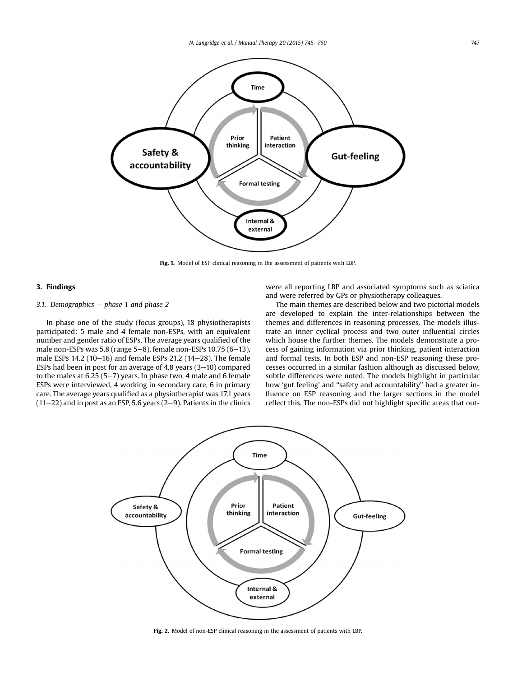<span id="page-2-0"></span>

Fig. 1. Model of ESP clinical reasoning in the assessment of patients with LBP.

## 3. Findings

## 3.1. Demographics  $-$  phase 1 and phase 2

In phase one of the study (focus groups), 18 physiotherapists participated: 5 male and 4 female non-ESPs, with an equivalent number and gender ratio of ESPs. The average years qualified of the male non-ESPs was 5.8 (range  $5-8$ ), female non-ESPs 10.75 (6-13), male ESPs  $14.2$  ( $10-16$ ) and female ESPs  $21.2$  ( $14-28$ ). The female ESPs had been in post for an average of 4.8 years  $(3-10)$  compared to the males at  $6.25(5-7)$  years. In phase two, 4 male and 6 female ESPs were interviewed, 4 working in secondary care, 6 in primary care. The average years qualified as a physiotherapist was 17.1 years  $(11–22)$  and in post as an ESP, 5.6 years  $(2–9)$ . Patients in the clinics were all reporting LBP and associated symptoms such as sciatica and were referred by GPs or physiotherapy colleagues.

The main themes are described below and two pictorial models are developed to explain the inter-relationships between the themes and differences in reasoning processes. The models illustrate an inner cyclical process and two outer influential circles which house the further themes. The models demonstrate a process of gaining information via prior thinking, patient interaction and formal tests. In both ESP and non-ESP reasoning these processes occurred in a similar fashion although as discussed below, subtle differences were noted. The models highlight in particular how 'gut feeling' and "safety and accountability" had a greater influence on ESP reasoning and the larger sections in the model reflect this. The non-ESPs did not highlight specific areas that out-



Fig. 2. Model of non-ESP clinical reasoning in the assessment of patients with LBP.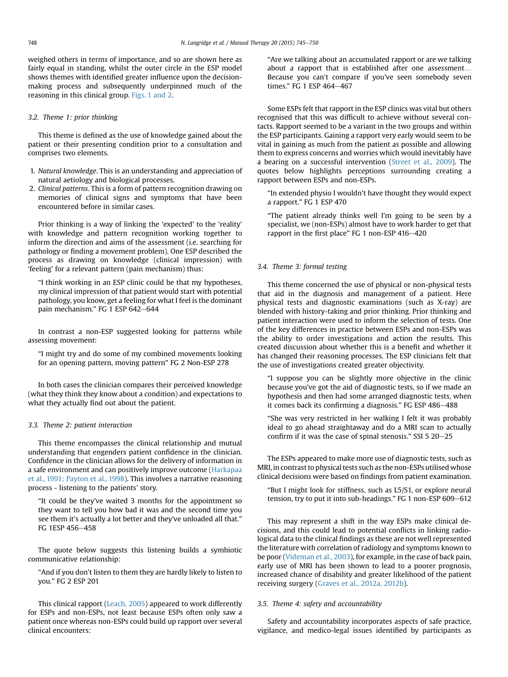weighed others in terms of importance, and so are shown here as fairly equal in standing, whilst the outer circle in the ESP model shows themes with identified greater influence upon the decisionmaking process and subsequently underpinned much of the reasoning in this clinical group. [Figs. 1 and 2.](#page-2-0)

## 3.2. Theme 1: prior thinking

This theme is defined as the use of knowledge gained about the patient or their presenting condition prior to a consultation and comprises two elements.

- 1. Natural knowledge. This is an understanding and appreciation of natural aetiology and biological processes.
- 2. Clinical patterns. This is a form of pattern recognition drawing on memories of clinical signs and symptoms that have been encountered before in similar cases.

Prior thinking is a way of linking the 'expected' to the 'reality' with knowledge and pattern recognition working together to inform the direction and aims of the assessment (i.e. searching for pathology or finding a movement problem). One ESP described the process as drawing on knowledge (clinical impression) with 'feeling' for a relevant pattern (pain mechanism) thus:

"I think working in an ESP clinic could be that my hypotheses, my clinical impression of that patient would start with potential pathology, you know, get a feeling for what I feel is the dominant pain mechanism." FG 1 ESP 642-644

In contrast a non-ESP suggested looking for patterns while assessing movement:

"I might try and do some of my combined movements looking for an opening pattern, moving pattern" FG 2 Non-ESP 278

In both cases the clinician compares their perceived knowledge (what they think they know about a condition) and expectations to what they actually find out about the patient.

## 3.3. Theme 2: patient interaction

This theme encompasses the clinical relationship and mutual understanding that engenders patient confidence in the clinician. Confidence in the clinician allows for the delivery of information in a safe environment and can positively improve outcome [\(Harkapaa](#page-5-0) [et al., 1991; Payton et al., 1998\)](#page-5-0). This involves a narrative reasoning process - listening to the patients' story.

"It could be they've waited 3 months for the appointment so they want to tell you how bad it was and the second time you see them it's actually a lot better and they've unloaded all that." FG 1ESP 456-458

The quote below suggests this listening builds a symbiotic communicative relationship:

"And if you don't listen to them they are hardly likely to listen to you." FG 2 ESP 201

This clinical rapport [\(Leach, 2005](#page-5-0)) appeared to work differently for ESPs and non-ESPs, not least because ESPs often only saw a patient once whereas non-ESPs could build up rapport over several clinical encounters:

"Are we talking about an accumulated rapport or are we talking about a rapport that is established after one assessment… Because you can't compare if you've seen somebody seven times." FG 1 ESP  $464 - 467$ 

Some ESPs felt that rapport in the ESP clinics was vital but others recognised that this was difficult to achieve without several contacts. Rapport seemed to be a variant in the two groups and within the ESP participants. Gaining a rapport very early would seem to be vital in gaining as much from the patient as possible and allowing them to express concerns and worries which would inevitably have a bearing on a successful intervention [\(Street et al., 2009](#page-5-0)). The quotes below highlights perceptions surrounding creating a rapport between ESPs and non-ESPs.

"In extended physio I wouldn't have thought they would expect a rapport." FG 1 ESP 470

"The patient already thinks well I'm going to be seen by a specialist, we (non-ESPs) almost have to work harder to get that rapport in the first place" FG 1 non-ESP  $416-420$ 

## 3.4. Theme 3: formal testing

This theme concerned the use of physical or non-physical tests that aid in the diagnosis and management of a patient. Here physical tests and diagnostic examinations (such as X-ray) are blended with history-taking and prior thinking. Prior thinking and patient interaction were used to inform the selection of tests. One of the key differences in practice between ESPs and non-ESPs was the ability to order investigations and action the results. This created discussion about whether this is a benefit and whether it has changed their reasoning processes. The ESP clinicians felt that the use of investigations created greater objectivity.

"I suppose you can be slightly more objective in the clinic because you've got the aid of diagnostic tests, so if we made an hypothesis and then had some arranged diagnostic tests, when it comes back its confirming a diagnosis." FG ESP 486-488

"She was very restricted in her walking I felt it was probably ideal to go ahead straightaway and do a MRI scan to actually confirm if it was the case of spinal stenosis."  $SSI$  5 20–25

The ESPs appeared to make more use of diagnostic tests, such as MRI, in contrast to physical tests such as the non-ESPs utilised whose clinical decisions were based on findings from patient examination.

"But I might look for stiffness, such as L5/S1, or explore neural tension, try to put it into sub-headings." FG 1 non-ESP 609-612

This may represent a shift in the way ESPs make clinical decisions, and this could lead to potential conflicts in linking radiological data to the clinical findings as these are not well represented the literature with correlation of radiology and symptoms known to be poor ([Videman et al., 2003\)](#page-5-0), for example, in the case of back pain, early use of MRI has been shown to lead to a poorer prognosis, increased chance of disability and greater likelihood of the patient receiving surgery ([Graves et al., 2012a, 2012b](#page-5-0)).

## 3.5. Theme 4: safety and accountability

Safety and accountability incorporates aspects of safe practice, vigilance, and medico-legal issues identified by participants as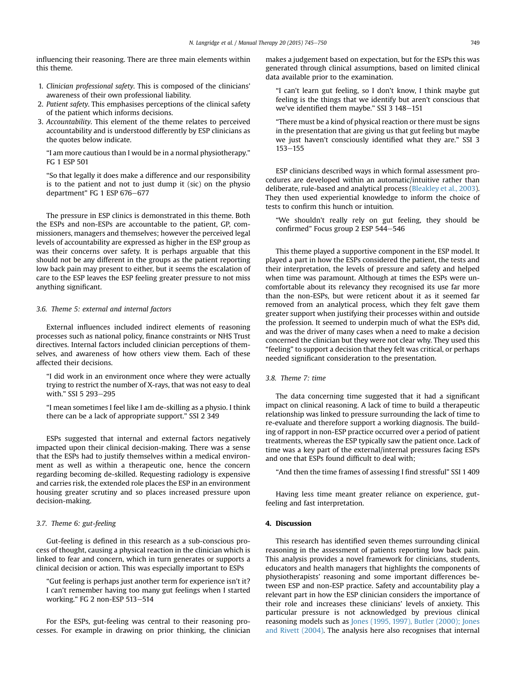influencing their reasoning. There are three main elements within this theme.

- 1. Clinician professional safety. This is composed of the clinicians' awareness of their own professional liability.
- 2. Patient safety. This emphasises perceptions of the clinical safety of the patient which informs decisions.
- 3. Accountability. This element of the theme relates to perceived accountability and is understood differently by ESP clinicians as the quotes below indicate.

"I am more cautious than I would be in a normal physiotherapy." FG 1 ESP 501

"So that legally it does make a difference and our responsibility is to the patient and not to just dump it (sic) on the physio department" FG  $1$  ESP 676-677

The pressure in ESP clinics is demonstrated in this theme. Both the ESPs and non-ESPs are accountable to the patient, GP, commissioners, managers and themselves; however the perceived legal levels of accountability are expressed as higher in the ESP group as was their concerns over safety. It is perhaps arguable that this should not be any different in the groups as the patient reporting low back pain may present to either, but it seems the escalation of care to the ESP leaves the ESP feeling greater pressure to not miss anything significant.

## 3.6. Theme 5: external and internal factors

External influences included indirect elements of reasoning processes such as national policy, finance constraints or NHS Trust directives. Internal factors included clinician perceptions of themselves, and awareness of how others view them. Each of these affected their decisions.

"I did work in an environment once where they were actually trying to restrict the number of X-rays, that was not easy to deal with." SSI 5 293-295

"I mean sometimes I feel like I am de-skilling as a physio. I think there can be a lack of appropriate support." SSI 2 349

ESPs suggested that internal and external factors negatively impacted upon their clinical decision-making. There was a sense that the ESPs had to justify themselves within a medical environment as well as within a therapeutic one, hence the concern regarding becoming de-skilled. Requesting radiology is expensive and carries risk, the extended role places the ESP in an environment housing greater scrutiny and so places increased pressure upon decision-making.

## 3.7. Theme 6: gut-feeling

Gut-feeling is defined in this research as a sub-conscious process of thought, causing a physical reaction in the clinician which is linked to fear and concern, which in turn generates or supports a clinical decision or action. This was especially important to ESPs

"Gut feeling is perhaps just another term for experience isn't it? I can't remember having too many gut feelings when I started working." FG 2 non-ESP 513-514

For the ESPs, gut-feeling was central to their reasoning processes. For example in drawing on prior thinking, the clinician makes a judgement based on expectation, but for the ESPs this was generated through clinical assumptions, based on limited clinical data available prior to the examination.

"I can't learn gut feeling, so I don't know, I think maybe gut feeling is the things that we identify but aren't conscious that we've identified them maybe." SSI 3 148-151

"There must be a kind of physical reaction or there must be signs in the presentation that are giving us that gut feeling but maybe we just haven't consciously identified what they are." SSI 3  $153 - 155$ 

ESP clinicians described ways in which formal assessment procedures are developed within an automatic/intuitive rather than deliberate, rule-based and analytical process [\(Bleakley et al., 2003\)](#page-5-0). They then used experiential knowledge to inform the choice of tests to confirm this hunch or intuition.

"We shouldn't really rely on gut feeling, they should be confirmed" Focus group 2 ESP 544-546

This theme played a supportive component in the ESP model. It played a part in how the ESPs considered the patient, the tests and their interpretation, the levels of pressure and safety and helped when time was paramount. Although at times the ESPs were uncomfortable about its relevancy they recognised its use far more than the non-ESPs, but were reticent about it as it seemed far removed from an analytical process, which they felt gave them greater support when justifying their processes within and outside the profession. It seemed to underpin much of what the ESPs did, and was the driver of many cases when a need to make a decision concerned the clinician but they were not clear why. They used this "feeling" to support a decision that they felt was critical, or perhaps needed significant consideration to the presentation.

## 3.8. Theme 7: time

The data concerning time suggested that it had a significant impact on clinical reasoning. A lack of time to build a therapeutic relationship was linked to pressure surrounding the lack of time to re-evaluate and therefore support a working diagnosis. The building of rapport in non-ESP practice occurred over a period of patient treatments, whereas the ESP typically saw the patient once. Lack of time was a key part of the external/internal pressures facing ESPs and one that ESPs found difficult to deal with;

"And then the time frames of assessing I find stressful" SSI 1 409

Having less time meant greater reliance on experience, gutfeeling and fast interpretation.

## 4. Discussion

This research has identified seven themes surrounding clinical reasoning in the assessment of patients reporting low back pain. This analysis provides a novel framework for clinicians, students, educators and health managers that highlights the components of physiotherapists' reasoning and some important differences between ESP and non-ESP practice. Safety and accountability play a relevant part in how the ESP clinician considers the importance of their role and increases these clinicians' levels of anxiety. This particular pressure is not acknowledged by previous clinical reasoning models such as [Jones \(1995, 1997\), Butler \(2000\); Jones](#page-5-0) [and Rivett \(2004\)](#page-5-0). The analysis here also recognises that internal